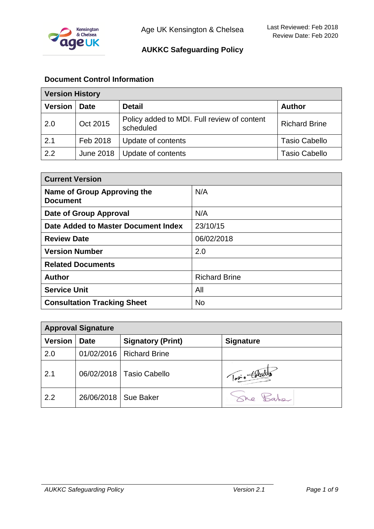

# **Document Control Information**

| <b>Version History</b> |                  |                                                          |                      |
|------------------------|------------------|----------------------------------------------------------|----------------------|
| <b>Version</b>         | <b>Date</b>      | <b>Detail</b>                                            | <b>Author</b>        |
| 2.0                    | Oct 2015         | Policy added to MDI. Full review of content<br>scheduled | <b>Richard Brine</b> |
| 2.1                    | Feb 2018         | Update of contents                                       | <b>Tasio Cabello</b> |
| 2.2                    | <b>June 2018</b> | Update of contents                                       | <b>Tasio Cabello</b> |

| <b>Current Version</b>                         |                      |  |
|------------------------------------------------|----------------------|--|
| Name of Group Approving the<br><b>Document</b> | N/A                  |  |
| <b>Date of Group Approval</b>                  | N/A                  |  |
| Date Added to Master Document Index            | 23/10/15             |  |
| <b>Review Date</b>                             | 06/02/2018           |  |
| <b>Version Number</b>                          | 2.0                  |  |
| <b>Related Documents</b>                       |                      |  |
| <b>Author</b>                                  | <b>Richard Brine</b> |  |
| <b>Service Unit</b>                            | All                  |  |
| <b>Consultation Tracking Sheet</b>             | <b>No</b>            |  |

| <b>Approval Signature</b> |             |                            |                  |
|---------------------------|-------------|----------------------------|------------------|
| <b>Version</b>            | <b>Date</b> | <b>Signatory (Print)</b>   | <b>Signature</b> |
| 2.0                       |             | 01/02/2016   Richard Brine |                  |
| 2.1                       |             | 06/02/2018   Tasio Cabello | Topio Collecto   |
| 2.2                       | 26/06/2018  | Sue Baker                  |                  |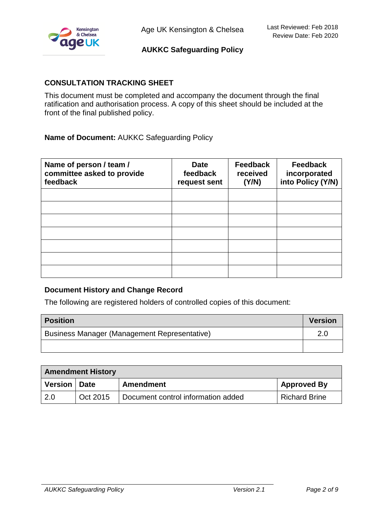

# **CONSULTATION TRACKING SHEET**

This document must be completed and accompany the document through the final ratification and authorisation process. A copy of this sheet should be included at the front of the final published policy.

**Name of Document:** AUKKC Safeguarding Policy

| Name of person / team /<br>committee asked to provide<br>feedback | <b>Date</b><br>feedback<br>request sent | <b>Feedback</b><br>received<br>(Y/N) | <b>Feedback</b><br>incorporated<br>into Policy (Y/N) |
|-------------------------------------------------------------------|-----------------------------------------|--------------------------------------|------------------------------------------------------|
|                                                                   |                                         |                                      |                                                      |
|                                                                   |                                         |                                      |                                                      |
|                                                                   |                                         |                                      |                                                      |
|                                                                   |                                         |                                      |                                                      |
|                                                                   |                                         |                                      |                                                      |
|                                                                   |                                         |                                      |                                                      |
|                                                                   |                                         |                                      |                                                      |

### **Document History and Change Record**

The following are registered holders of controlled copies of this document:

| Position                                            | <b>Version</b> |  |
|-----------------------------------------------------|----------------|--|
| <b>Business Manager (Management Representative)</b> |                |  |
|                                                     |                |  |

| <b>Amendment History</b> |          |                                    |                      |
|--------------------------|----------|------------------------------------|----------------------|
| Version   Date           |          | <b>Amendment</b>                   | <b>Approved By</b>   |
| 2.0                      | Oct 2015 | Document control information added | <b>Richard Brine</b> |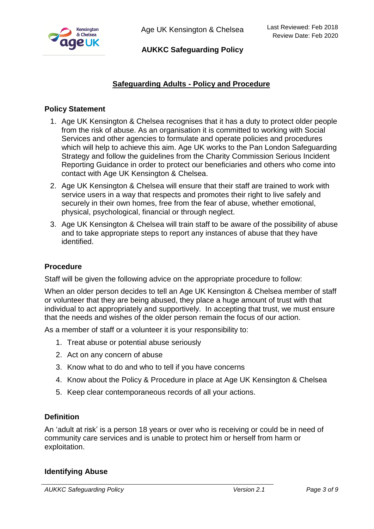

Age UK Kensington & Chelsea

# **AUKKC Safeguarding Policy**

# **Safeguarding Adults - Policy and Procedure**

# **Policy Statement**

- 1. Age UK Kensington & Chelsea recognises that it has a duty to protect older people from the risk of abuse. As an organisation it is committed to working with Social Services and other agencies to formulate and operate policies and procedures which will help to achieve this aim. Age UK works to the Pan London Safeguarding Strategy and follow the guidelines from the Charity Commission Serious Incident Reporting Guidance in order to protect our beneficiaries and others who come into contact with Age UK Kensington & Chelsea.
- 2. Age UK Kensington & Chelsea will ensure that their staff are trained to work with service users in a way that respects and promotes their right to live safely and securely in their own homes, free from the fear of abuse, whether emotional, physical, psychological, financial or through neglect.
- 3. Age UK Kensington & Chelsea will train staff to be aware of the possibility of abuse and to take appropriate steps to report any instances of abuse that they have identified.

### **Procedure**

Staff will be given the following advice on the appropriate procedure to follow:

When an older person decides to tell an Age UK Kensington & Chelsea member of staff or volunteer that they are being abused, they place a huge amount of trust with that individual to act appropriately and supportively. In accepting that trust, we must ensure that the needs and wishes of the older person remain the focus of our action.

As a member of staff or a volunteer it is your responsibility to:

- 1. Treat abuse or potential abuse seriously
- 2. Act on any concern of abuse
- 3. Know what to do and who to tell if you have concerns
- 4. Know about the Policy & Procedure in place at Age UK Kensington & Chelsea
- 5. Keep clear contemporaneous records of all your actions.

### **Definition**

An 'adult at risk' is a person 18 years or over who is receiving or could be in need of community care services and is unable to protect him or herself from harm or exploitation.

#### **Identifying Abuse**

*AUKKC Safeguarding Policy Version 2.1 Page 3 of 9*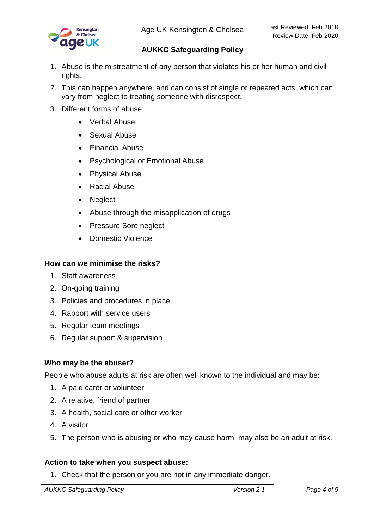

- 1. Abuse is the mistreatment of any person that violates his or her human and civil rights.
- 2. This can happen anywhere, and can consist of single or repeated acts, which can vary from neglect to treating someone with disrespect.
- 3. Different forms of abuse:
	- Verbal Abuse
	- Sexual Abuse
	- Financial Abuse
	- Psychological or Emotional Abuse
	- Physical Abuse
	- Racial Abuse
	- Neglect
	- Abuse through the misapplication of drugs
	- Pressure Sore neglect
	- Domestic Violence

### **How can we minimise the risks?**

- 1. Staff awareness
- 2. On-going training
- 3. Policies and procedures in place
- 4. Rapport with service users
- 5. Regular team meetings
- 6. Regular support & supervision

### **Who may be the abuser?**

People who abuse adults at risk are often well known to the individual and may be:

- 1. A paid carer or volunteer
- 2. A relative, friend of partner
- 3. A health, social care or other worker
- 4. A visitor
- 5. The person who is abusing or who may cause harm, may also be an adult at risk.

#### **Action to take when you suspect abuse:**

1. Check that the person or you are not in any immediate danger.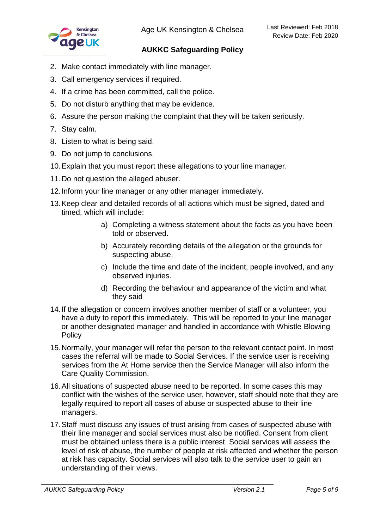

- 2. Make contact immediately with line manager.
- 3. Call emergency services if required.
- 4. If a crime has been committed, call the police.
- 5. Do not disturb anything that may be evidence.
- 6. Assure the person making the complaint that they will be taken seriously.
- 7. Stay calm.
- 8. Listen to what is being said.
- 9. Do not jump to conclusions.
- 10.Explain that you must report these allegations to your line manager.
- 11.Do not question the alleged abuser.
- 12.Inform your line manager or any other manager immediately.
- 13.Keep clear and detailed records of all actions which must be signed, dated and timed, which will include:
	- a) Completing a witness statement about the facts as you have been told or observed.
	- b) Accurately recording details of the allegation or the grounds for suspecting abuse.
	- c) Include the time and date of the incident, people involved, and any observed injuries.
	- d) Recording the behaviour and appearance of the victim and what they said
- 14.If the allegation or concern involves another member of staff or a volunteer, you have a duty to report this immediately. This will be reported to your line manager or another designated manager and handled in accordance with Whistle Blowing **Policy**
- 15.Normally, your manager will refer the person to the relevant contact point. In most cases the referral will be made to Social Services. If the service user is receiving services from the At Home service then the Service Manager will also inform the Care Quality Commission.
- 16.All situations of suspected abuse need to be reported. In some cases this may conflict with the wishes of the service user, however, staff should note that they are legally required to report all cases of abuse or suspected abuse to their line managers.
- 17.Staff must discuss any issues of trust arising from cases of suspected abuse with their line manager and social services must also be notified. Consent from client must be obtained unless there is a public interest. Social services will assess the level of risk of abuse, the number of people at risk affected and whether the person at risk has capacity. Social services will also talk to the service user to gain an understanding of their views.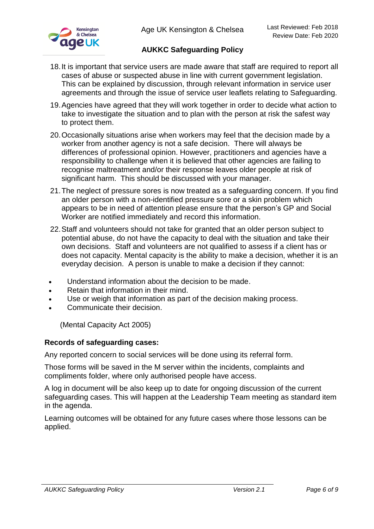- 18.It is important that service users are made aware that staff are required to report all cases of abuse or suspected abuse in line with current government legislation. This can be explained by discussion, through relevant information in service user agreements and through the issue of service user leaflets relating to Safeguarding.
- 19.Agencies have agreed that they will work together in order to decide what action to take to investigate the situation and to plan with the person at risk the safest way to protect them.
- 20.Occasionally situations arise when workers may feel that the decision made by a worker from another agency is not a safe decision. There will always be differences of professional opinion. However, practitioners and agencies have a responsibility to challenge when it is believed that other agencies are failing to recognise maltreatment and/or their response leaves older people at risk of significant harm. This should be discussed with your manager.
- 21.The neglect of pressure sores is now treated as a safeguarding concern. If you find an older person with a non-identified pressure sore or a skin problem which appears to be in need of attention please ensure that the person's GP and Social Worker are notified immediately and record this information.
- 22.Staff and volunteers should not take for granted that an older person subject to potential abuse, do not have the capacity to deal with the situation and take their own decisions. Staff and volunteers are not qualified to assess if a client has or does not capacity. Mental capacity is the ability to make a decision, whether it is an everyday decision. A person is unable to make a decision if they cannot:
- Understand information about the decision to be made.
- Retain that information in their mind.
- Use or weigh that information as part of the decision making process.
- Communicate their decision.

(Mental Capacity Act 2005)

### **Records of safeguarding cases:**

Any reported concern to social services will be done using its referral form.

Those forms will be saved in the M server within the incidents, complaints and compliments folder, where only authorised people have access.

A log in document will be also keep up to date for ongoing discussion of the current safeguarding cases. This will happen at the Leadership Team meeting as standard item in the agenda.

Learning outcomes will be obtained for any future cases where those lessons can be applied.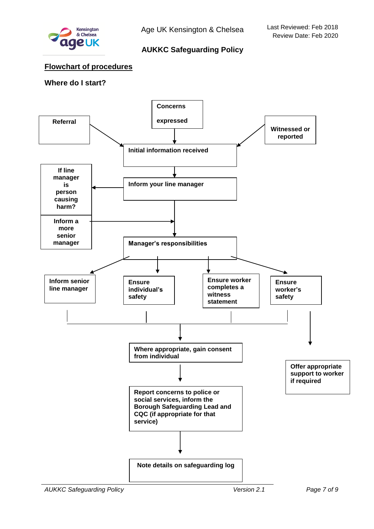

### **Flowchart of procedures**

# **Where do I start?**

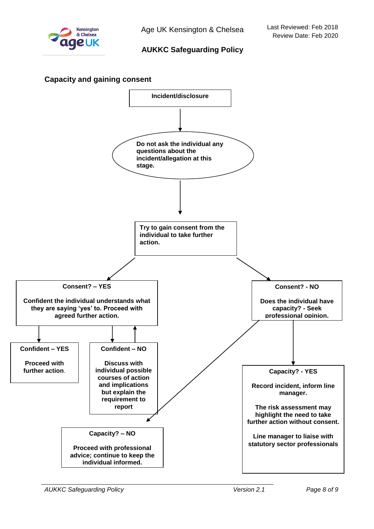